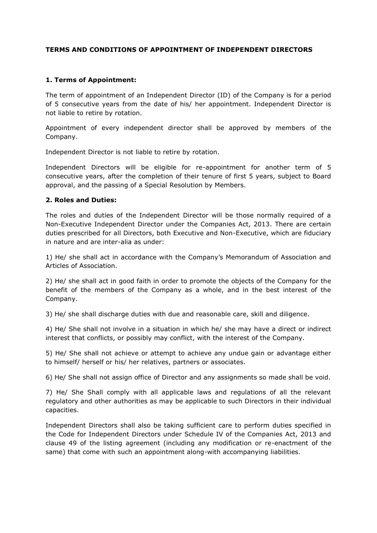#### **TERMS AND CONDITIONS OF APPOINTMENT OF INDEPENDENT DIRECTORS**

#### **1. Terms of Appointment:**

The term of appointment of an Independent Director (ID) of the Company is for a period of 5 consecutive years from the date of his/ her appointment. Independent Director is not liable to retire by rotation.

Appointment of every independent director shall be approved by members of the Company.

Independent Director is not liable to retire by rotation.

Independent Directors will be eligible for re-appointment for another term of 5 consecutive years, after the completion of their tenure of first 5 years, subject to Board approval, and the passing of a Special Resolution by Members.

#### **2. Roles and Duties:**

The roles and duties of the Independent Director will be those normally required of a Non-Executive Independent Director under the Companies Act, 2013. There are certain duties prescribed for all Directors, both Executive and Non-Executive, which are fiduciary in nature and are inter-alia as under:

1) He/ she shall act in accordance with the Company's Memorandum of Association and Articles of Association.

2) He/ she shall act in good faith in order to promote the objects of the Company for the benefit of the members of the Company as a whole, and in the best interest of the Company.

3) He/ she shall discharge duties with due and reasonable care, skill and diligence.

4) He/ She shall not involve in a situation in which he/ she may have a direct or indirect interest that conflicts, or possibly may conflict, with the interest of the Company.

5) He/ She shall not achieve or attempt to achieve any undue gain or advantage either to himself/ herself or his/ her relatives, partners or associates.

6) He/ She shall not assign office of Director and any assignments so made shall be void.

7) He/ She Shall comply with all applicable laws and regulations of all the relevant regulatory and other authorities as may be applicable to such Directors in their individual capacities.

Independent Directors shall also be taking sufficient care to perform duties specified in the Code for Independent Directors under Schedule IV of the Companies Act, 2013 and clause 49 of the listing agreement (including any modification or re-enactment of the same) that come with such an appointment along-with accompanying liabilities.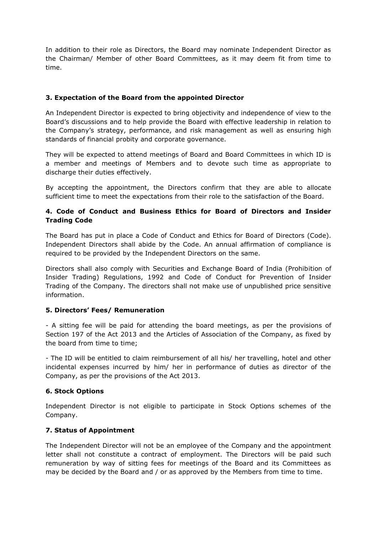In addition to their role as Directors, the Board may nominate Independent Director as the Chairman/ Member of other Board Committees, as it may deem fit from time to time.

## **3. Expectation of the Board from the appointed Director**

An Independent Director is expected to bring objectivity and independence of view to the Board's discussions and to help provide the Board with effective leadership in relation to the Company's strategy, performance, and risk management as well as ensuring high standards of financial probity and corporate governance.

They will be expected to attend meetings of Board and Board Committees in which ID is a member and meetings of Members and to devote such time as appropriate to discharge their duties effectively.

By accepting the appointment, the Directors confirm that they are able to allocate sufficient time to meet the expectations from their role to the satisfaction of the Board.

# **4. Code of Conduct and Business Ethics for Board of Directors and Insider Trading Code**

The Board has put in place a Code of Conduct and Ethics for Board of Directors (Code). Independent Directors shall abide by the Code. An annual affirmation of compliance is required to be provided by the Independent Directors on the same.

Directors shall also comply with Securities and Exchange Board of India (Prohibition of Insider Trading) Regulations, 1992 and Code of Conduct for Prevention of Insider Trading of the Company. The directors shall not make use of unpublished price sensitive information.

### **5. Directors' Fees/ Remuneration**

- A sitting fee will be paid for attending the board meetings, as per the provisions of Section 197 of the Act 2013 and the Articles of Association of the Company, as fixed by the board from time to time;

- The ID will be entitled to claim reimbursement of all his/ her travelling, hotel and other incidental expenses incurred by him/ her in performance of duties as director of the Company, as per the provisions of the Act 2013.

### **6. Stock Options**

Independent Director is not eligible to participate in Stock Options schemes of the Company.

### **7. Status of Appointment**

The Independent Director will not be an employee of the Company and the appointment letter shall not constitute a contract of employment. The Directors will be paid such remuneration by way of sitting fees for meetings of the Board and its Committees as may be decided by the Board and / or as approved by the Members from time to time.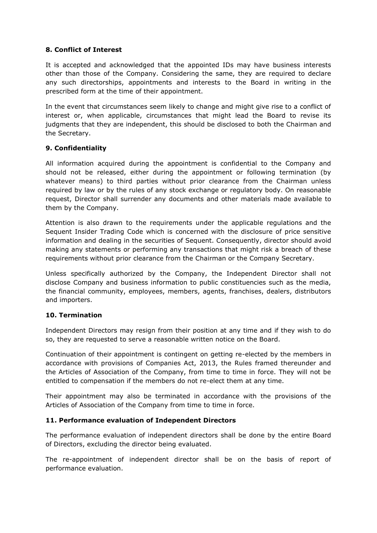## **8. Conflict of Interest**

It is accepted and acknowledged that the appointed IDs may have business interests other than those of the Company. Considering the same, they are required to declare any such directorships, appointments and interests to the Board in writing in the prescribed form at the time of their appointment.

In the event that circumstances seem likely to change and might give rise to a conflict of interest or, when applicable, circumstances that might lead the Board to revise its judgments that they are independent, this should be disclosed to both the Chairman and the Secretary.

# **9. Confidentiality**

All information acquired during the appointment is confidential to the Company and should not be released, either during the appointment or following termination (by whatever means) to third parties without prior clearance from the Chairman unless required by law or by the rules of any stock exchange or regulatory body. On reasonable request, Director shall surrender any documents and other materials made available to them by the Company.

Attention is also drawn to the requirements under the applicable regulations and the Sequent Insider Trading Code which is concerned with the disclosure of price sensitive information and dealing in the securities of Sequent. Consequently, director should avoid making any statements or performing any transactions that might risk a breach of these requirements without prior clearance from the Chairman or the Company Secretary.

Unless specifically authorized by the Company, the Independent Director shall not disclose Company and business information to public constituencies such as the media, the financial community, employees, members, agents, franchises, dealers, distributors and importers.

### **10. Termination**

Independent Directors may resign from their position at any time and if they wish to do so, they are requested to serve a reasonable written notice on the Board.

Continuation of their appointment is contingent on getting re-elected by the members in accordance with provisions of Companies Act, 2013, the Rules framed thereunder and the Articles of Association of the Company, from time to time in force. They will not be entitled to compensation if the members do not re-elect them at any time.

Their appointment may also be terminated in accordance with the provisions of the Articles of Association of the Company from time to time in force.

### **11. Performance evaluation of Independent Directors**

The performance evaluation of independent directors shall be done by the entire Board of Directors, excluding the director being evaluated.

The re-appointment of independent director shall be on the basis of report of performance evaluation.